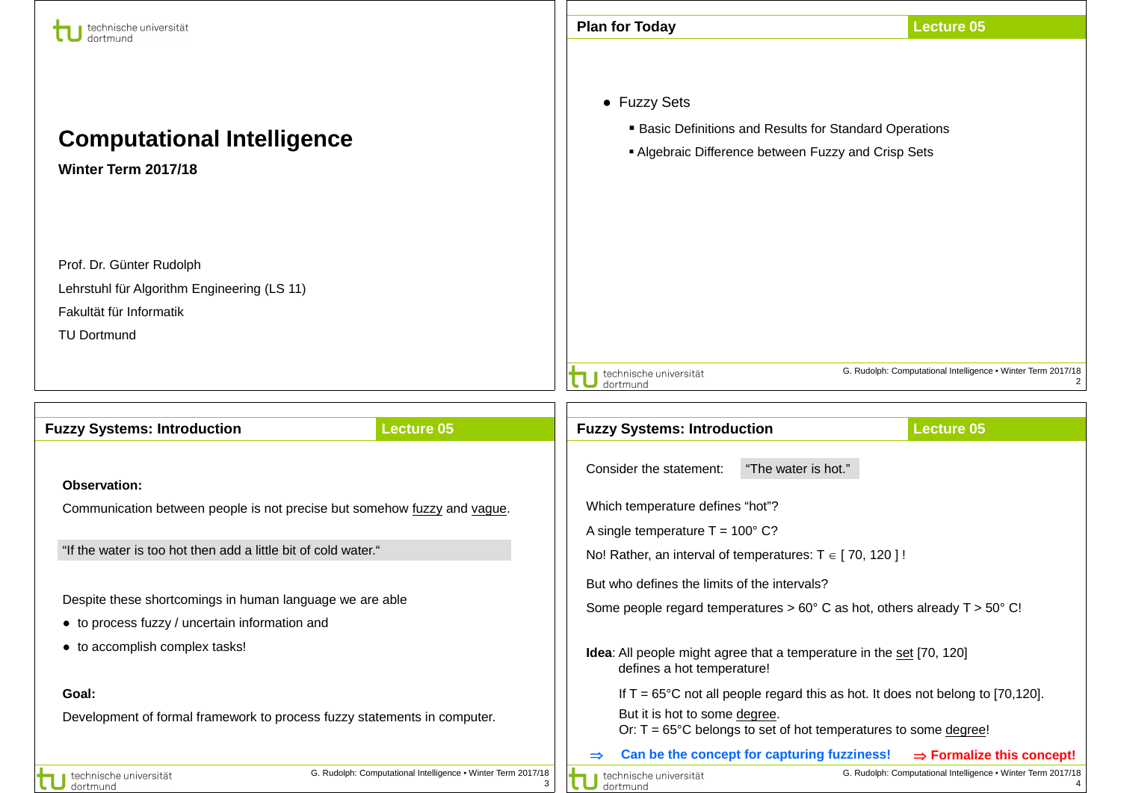| technische universität                                                                                                                                                       |                                                                   | <b>Plan for Today</b>                                                                                                                       |                                                                                                                     | <b>Lecture 05</b>                                            |
|------------------------------------------------------------------------------------------------------------------------------------------------------------------------------|-------------------------------------------------------------------|---------------------------------------------------------------------------------------------------------------------------------------------|---------------------------------------------------------------------------------------------------------------------|--------------------------------------------------------------|
| <b>Computational Intelligence</b><br>Winter Term 2017/18                                                                                                                     |                                                                   | • Fuzzy Sets                                                                                                                                | <b>Basic Definitions and Results for Standard Operations</b><br>• Algebraic Difference between Fuzzy and Crisp Sets |                                                              |
| Prof. Dr. Günter Rudolph<br>Lehrstuhl für Algorithm Engineering (LS 11)<br>Fakultät für Informatik<br><b>TU Dortmund</b>                                                     |                                                                   |                                                                                                                                             |                                                                                                                     |                                                              |
|                                                                                                                                                                              |                                                                   | technische universität<br>dortmund                                                                                                          |                                                                                                                     | G. Rudolph: Computational Intelligence • Winter Term 2017/18 |
| <b>Fuzzy Systems: Introduction</b>                                                                                                                                           | <b>Lecture 05</b>                                                 | <b>Fuzzy Systems: Introduction</b>                                                                                                          |                                                                                                                     | <b>Lecture 05</b>                                            |
| <b>Observation:</b><br>Communication between people is not precise but somehow fuzzy and vague.                                                                              |                                                                   | Consider the statement:<br>Which temperature defines "hot"?                                                                                 | "The water is hot."                                                                                                 |                                                              |
| "If the water is too hot then add a little bit of cold water."<br>Despite these shortcomings in human language we are able<br>• to process fuzzy / uncertain information and |                                                                   | A single temperature $T = 100^{\circ}$ C?                                                                                                   | No! Rather, an interval of temperatures: $T \in [70, 120]$ !                                                        |                                                              |
|                                                                                                                                                                              |                                                                   | But who defines the limits of the intervals?<br>Some people regard temperatures > $60^{\circ}$ C as hot, others already T > $50^{\circ}$ C! |                                                                                                                     |                                                              |
| • to accomplish complex tasks!                                                                                                                                               |                                                                   | defines a hot temperature!                                                                                                                  | Idea: All people might agree that a temperature in the set [70, 120]                                                |                                                              |
| Goal:                                                                                                                                                                        |                                                                   |                                                                                                                                             | If $T = 65^{\circ}$ C not all people regard this as hot. It does not belong to [70,120].                            |                                                              |
| Development of formal framework to process fuzzy statements in computer.                                                                                                     |                                                                   | But it is hot to some degree.                                                                                                               | Or: $T = 65^{\circ}$ C belongs to set of hot temperatures to some degree!                                           |                                                              |
|                                                                                                                                                                              |                                                                   | $\Rightarrow$                                                                                                                               | Can be the concept for capturing fuzziness!                                                                         | $\Rightarrow$ Formalize this concept!                        |
| technische universität<br>dortmund                                                                                                                                           | G. Rudolph: Computational Intelligence . Winter Term 2017/18<br>3 | technische universität<br>dortmund                                                                                                          |                                                                                                                     | G. Rudolph: Computational Intelligence . Winter Term 2017/18 |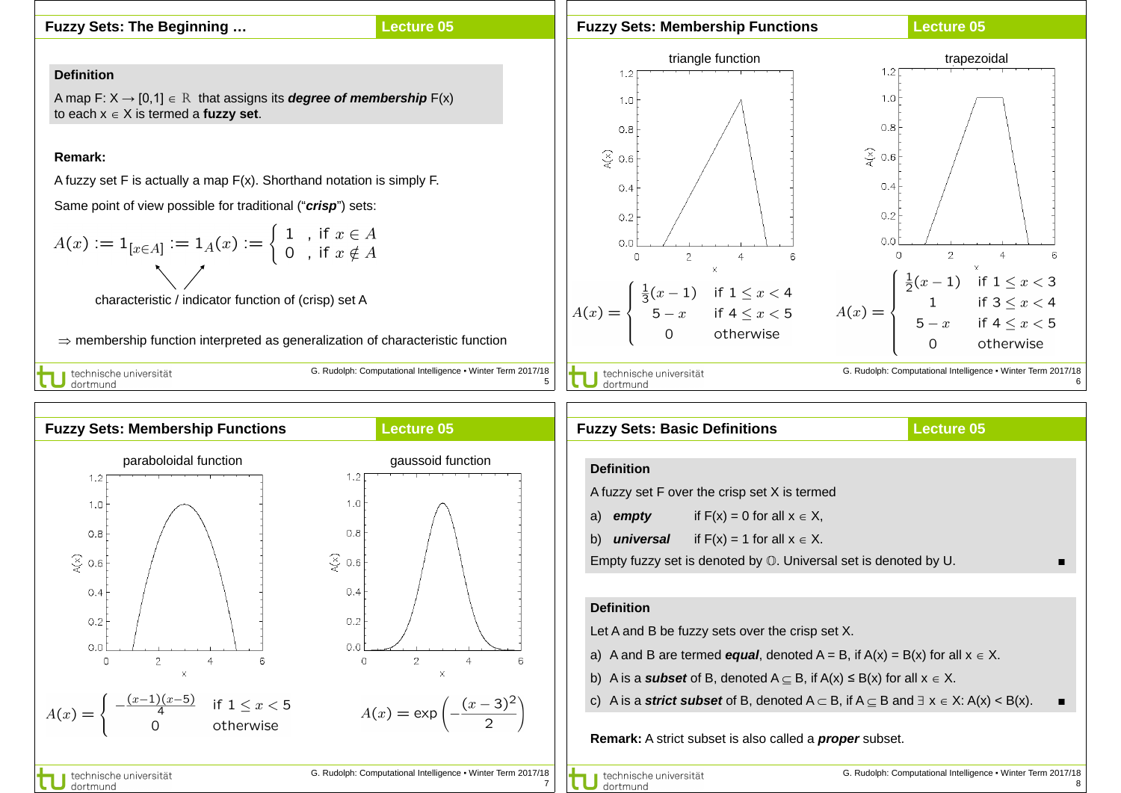# **Fuzzy Sets: The Beginning …**

# **Lecture 05**

## **Fuzzy Sets: Membership Functions**

#### **Lecture 05**

### **Definition**

A map  $F: X \to [0,1] \in \mathbb{R}$  that assigns its *degree* of *membership*  $F(x)$ to each x ∈ X is termed a **fuzzy set**.

### **Remark:**

A fuzzy set F is actually a map F(x). Shorthand notation is simply F.

Same point of view possible for traditional ("*crisp*") sets:

$$
A(x) := 1_{[x \in A]} := 1_A(x) := \begin{cases} 1, & \text{if } x \in A \\ 0, & \text{if } x \notin A \end{cases}
$$

characteristic / indicator function of (crisp) set A

⇒ membership function interpreted as generalization of characteristic function

J technische universität<br>J dortmund

G. Rudolph: Computational Intelligence ▪ Winter Term 2017/18





| <b>Fuzzy Sets: Basic Definitions</b>                                                            |                                                    | <b>Lecture 05</b>                                                                                                       |  |  |  |
|-------------------------------------------------------------------------------------------------|----------------------------------------------------|-------------------------------------------------------------------------------------------------------------------------|--|--|--|
|                                                                                                 |                                                    |                                                                                                                         |  |  |  |
| <b>Definition</b>                                                                               |                                                    |                                                                                                                         |  |  |  |
| A fuzzy set F over the crisp set X is termed                                                    |                                                    |                                                                                                                         |  |  |  |
| a)                                                                                              | <b>empty</b> if $F(x) = 0$ for all $x \in X$ ,     |                                                                                                                         |  |  |  |
| b)                                                                                              | <b>universal</b> if $F(x) = 1$ for all $x \in X$ . |                                                                                                                         |  |  |  |
| Empty fuzzy set is denoted by $\mathbb O$ . Universal set is denoted by U.                      |                                                    |                                                                                                                         |  |  |  |
|                                                                                                 |                                                    |                                                                                                                         |  |  |  |
| <b>Definition</b>                                                                               |                                                    |                                                                                                                         |  |  |  |
| Let A and B be fuzzy sets over the crisp set X.                                                 |                                                    |                                                                                                                         |  |  |  |
| a) A and B are termed <b>equal</b> , denoted $A = B$ , if $A(x) = B(x)$ for all $x \in X$ .     |                                                    |                                                                                                                         |  |  |  |
| b) A is a <b>subset</b> of B, denoted $A \subseteq B$ , if $A(x) \leq B(x)$ for all $x \in X$ . |                                                    |                                                                                                                         |  |  |  |
|                                                                                                 |                                                    | c) A is a <b>strict subset</b> of B, denoted $A \subset B$ , if $A \subseteq B$ and $\exists x \in X$ : $A(x) < B(x)$ . |  |  |  |
|                                                                                                 |                                                    |                                                                                                                         |  |  |  |

**Remark:** A strict subset is also called a *proper* subset.

■ technische universität dortmund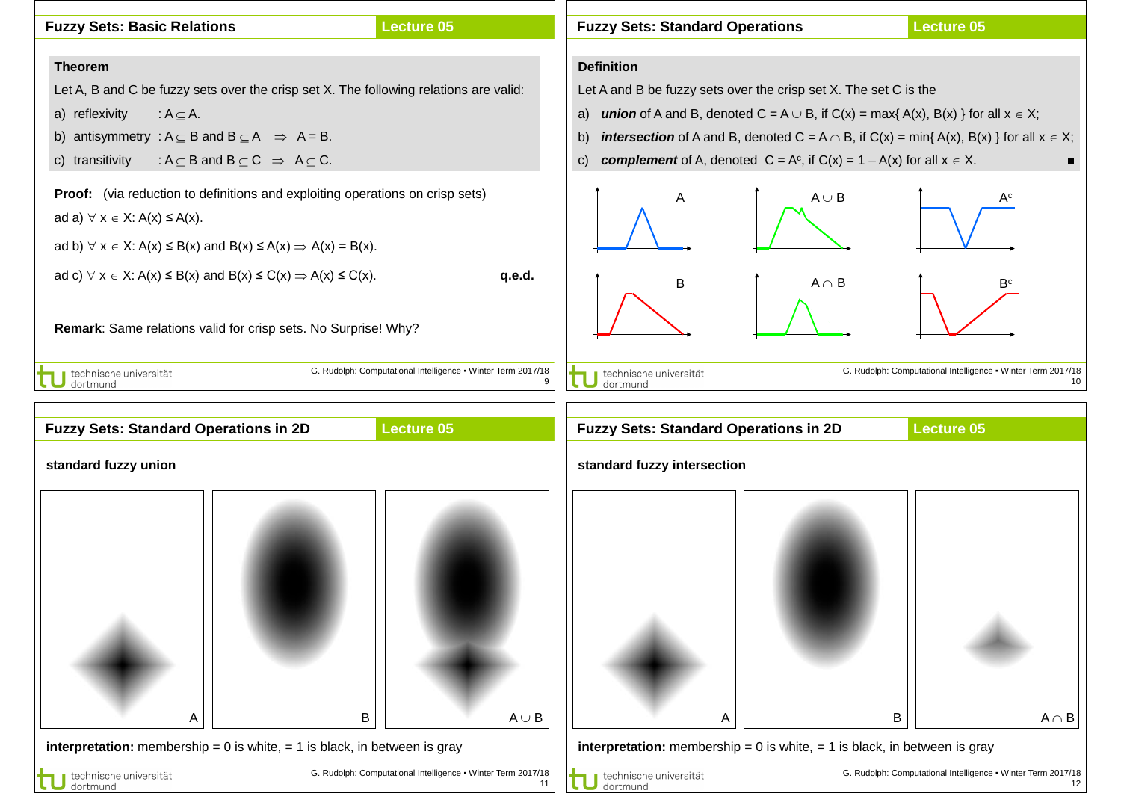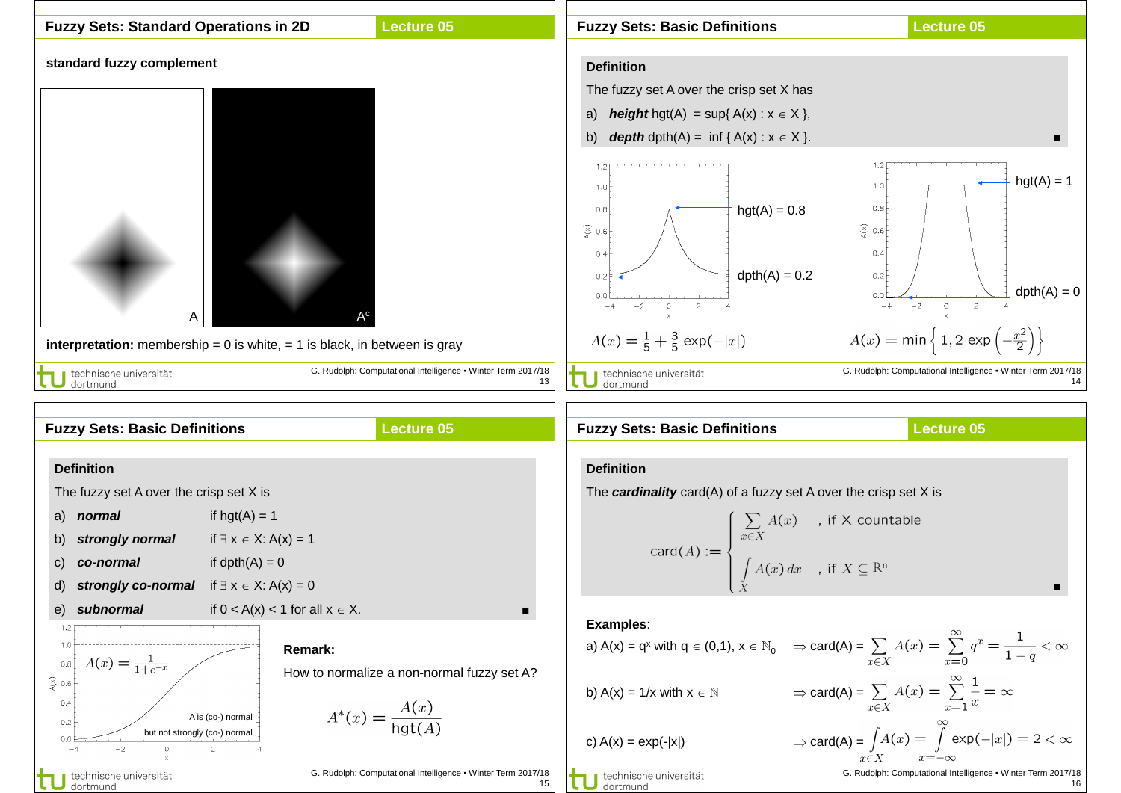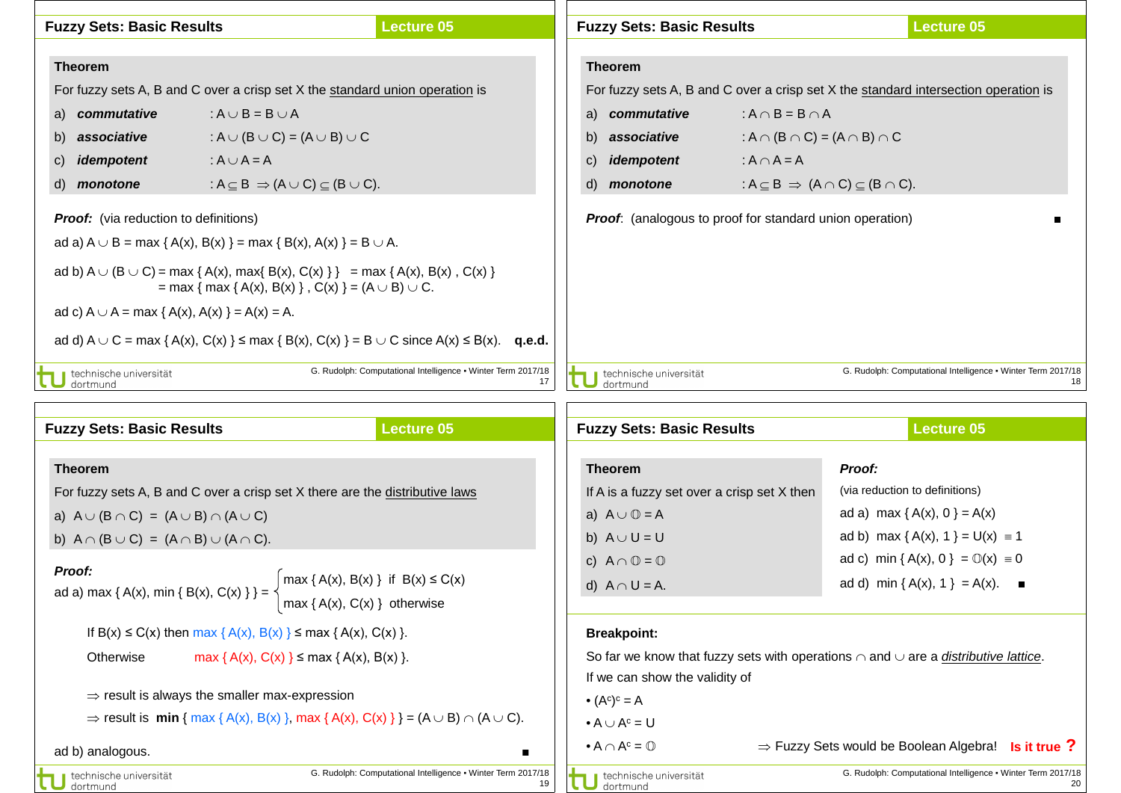| <b>Fuzzy Sets: Basic Results</b>                                                                                                                      |                                                                                                             | <b>Lecture 05</b>                                                  |                                                                                     | <b>Fuzzy Sets: Basic Results</b>                                |                                                                 | <b>Lecture 05</b>                                                  |
|-------------------------------------------------------------------------------------------------------------------------------------------------------|-------------------------------------------------------------------------------------------------------------|--------------------------------------------------------------------|-------------------------------------------------------------------------------------|-----------------------------------------------------------------|-----------------------------------------------------------------|--------------------------------------------------------------------|
|                                                                                                                                                       |                                                                                                             |                                                                    |                                                                                     |                                                                 |                                                                 |                                                                    |
| <b>Theorem</b>                                                                                                                                        |                                                                                                             |                                                                    | <b>Theorem</b>                                                                      |                                                                 |                                                                 |                                                                    |
| For fuzzy sets A, B and C over a crisp set X the standard union operation is                                                                          |                                                                                                             |                                                                    | For fuzzy sets A, B and C over a crisp set X the standard intersection operation is |                                                                 |                                                                 |                                                                    |
| a) commutative                                                                                                                                        | : $A \cup B = B \cup A$                                                                                     |                                                                    |                                                                                     | commutative<br>a)                                               | : $A \cap B = B \cap A$                                         |                                                                    |
| b) associative                                                                                                                                        | : A $\cup$ (B $\cup$ C) = (A $\cup$ B) $\cup$ C                                                             |                                                                    | b)                                                                                  | associative                                                     | : $A \cap (B \cap C) = (A \cap B) \cap C$                       |                                                                    |
| idempotent<br>C)                                                                                                                                      | : $A \cup A = A$                                                                                            |                                                                    | C)                                                                                  | idempotent                                                      | : $A \cap A = A$                                                |                                                                    |
| monotone<br>d)                                                                                                                                        | : $A \subseteq B \Rightarrow (A \cup C) \subseteq (B \cup C)$ .                                             |                                                                    | d)                                                                                  | monotone                                                        | : $A \subseteq B \Rightarrow (A \cap C) \subseteq (B \cap C)$ . |                                                                    |
| <b>Proof:</b> (via reduction to definitions)                                                                                                          |                                                                                                             |                                                                    |                                                                                     | <b>Proof:</b> (analogous to proof for standard union operation) |                                                                 |                                                                    |
| ad a) $A \cup B = max \{ A(x), B(x) \} = max \{ B(x), A(x) \} = B \cup A$ .                                                                           |                                                                                                             |                                                                    |                                                                                     |                                                                 |                                                                 |                                                                    |
| ad b) $A \cup (B \cup C)$ = max { A(x), max{ B(x), C(x) } } = max { A(x), B(x), C(x) }<br>= max { max { A(x), B(x) }, C(x) } = (A $\cup$ B) $\cup$ C. |                                                                                                             |                                                                    |                                                                                     |                                                                 |                                                                 |                                                                    |
| ad c) $A \cup A = max \{ A(x), A(x) \} = A(x) = A$ .                                                                                                  |                                                                                                             |                                                                    |                                                                                     |                                                                 |                                                                 |                                                                    |
|                                                                                                                                                       | ad d) $A \cup C$ = max { A(x), C(x) } $\leq$ max { B(x), C(x) } = B $\cup$ C since A(x) $\leq$ B(x). q.e.d. |                                                                    |                                                                                     |                                                                 |                                                                 |                                                                    |
| technische universität<br>dortmund                                                                                                                    |                                                                                                             | G. Rudolph: Computational Intelligence • Winter Term 2017/18<br>17 |                                                                                     | technische universität<br>dortmund                              |                                                                 | G. Rudolph: Computational Intelligence • Winter Term 2017/18<br>18 |
|                                                                                                                                                       |                                                                                                             |                                                                    |                                                                                     |                                                                 |                                                                 |                                                                    |

| <b>Fuzzy Sets: Basic Results</b>                                                                           | <b>Lecture 05</b>                                                  | <b>Fuzzy Sets: Basic Results</b>             | <b>Lecture 05</b>                                                                                    |
|------------------------------------------------------------------------------------------------------------|--------------------------------------------------------------------|----------------------------------------------|------------------------------------------------------------------------------------------------------|
|                                                                                                            |                                                                    |                                              |                                                                                                      |
| <b>Theorem</b>                                                                                             |                                                                    | <b>Theorem</b>                               | Proof:                                                                                               |
| For fuzzy sets A, B and C over a crisp set X there are the distributive laws                               |                                                                    | If A is a fuzzy set over a crisp set X then  | (via reduction to definitions)                                                                       |
| a) $A \cup (B \cap C) = (A \cup B) \cap (A \cup C)$                                                        |                                                                    | a) $A \cup \mathbb{O} = A$                   | ad a) max { $A(x)$ , 0 } = $A(x)$                                                                    |
| b) $A \cap (B \cup C) = (A \cap B) \cup (A \cap C)$ .                                                      |                                                                    | b) $A \cup U = U$                            | ad b) max { $A(x)$ , 1 } = $U(x) = 1$                                                                |
| Proof:                                                                                                     |                                                                    | c) $A \cap \mathbb{O} = \mathbb{O}$          | ad c) min { A(x), 0 } = $\mathbb{O}(x) = 0$                                                          |
| ad a) max { A(x), min { B(x), C(x) } } = $\{$<br>$\vert$ max { A(x), C(x) } otherwise                      | $\vert \max \{ A(x), B(x) \}$ if $B(x) \leq C(x)$                  | d) $A \cap U = A$ .                          | ad d) min { $A(x)$ , 1 } = $A(x)$ . $\blacksquare$                                                   |
| If B(x) $\leq C(x)$ then max { A(x), B(x) } $\leq$ max { A(x), C(x) }.                                     |                                                                    | <b>Breakpoint:</b>                           |                                                                                                      |
| Otherwise<br>$max \{ A(x), C(x) \}$ $\leq max \{ A(x), B(x) \}$ .                                          |                                                                    | If we can show the validity of               | So far we know that fuzzy sets with operations $\cap$ and $\cup$ are a <i>distributive lattice</i> . |
| $\Rightarrow$ result is always the smaller max-expression                                                  |                                                                    | $\bullet$ (A <sup>c</sup> ) <sup>c</sup> = A |                                                                                                      |
| $\Rightarrow$ result is min { max { A(x), B(x) }, max { A(x), C(x) } } = (A $\cup$ B) $\cap$ (A $\cup$ C). |                                                                    | $\bullet$ A $\cup$ A <sup>c</sup> = U        |                                                                                                      |
| ad b) analogous.                                                                                           | $\blacksquare$                                                     | $\bullet A \cap A^c = \mathbb{O}$            | $\Rightarrow$ Fuzzy Sets would be Boolean Algebra! Is it true ?                                      |
| technische universität<br>$\overline{\mathbf{C}}$ dortmund                                                 | G. Rudolph: Computational Intelligence . Winter Term 2017/18<br>19 | technische universität<br>$\bigcup$ dortmund | G. Rudolph: Computational Intelligence . Winter Term 2017/18<br>20                                   |